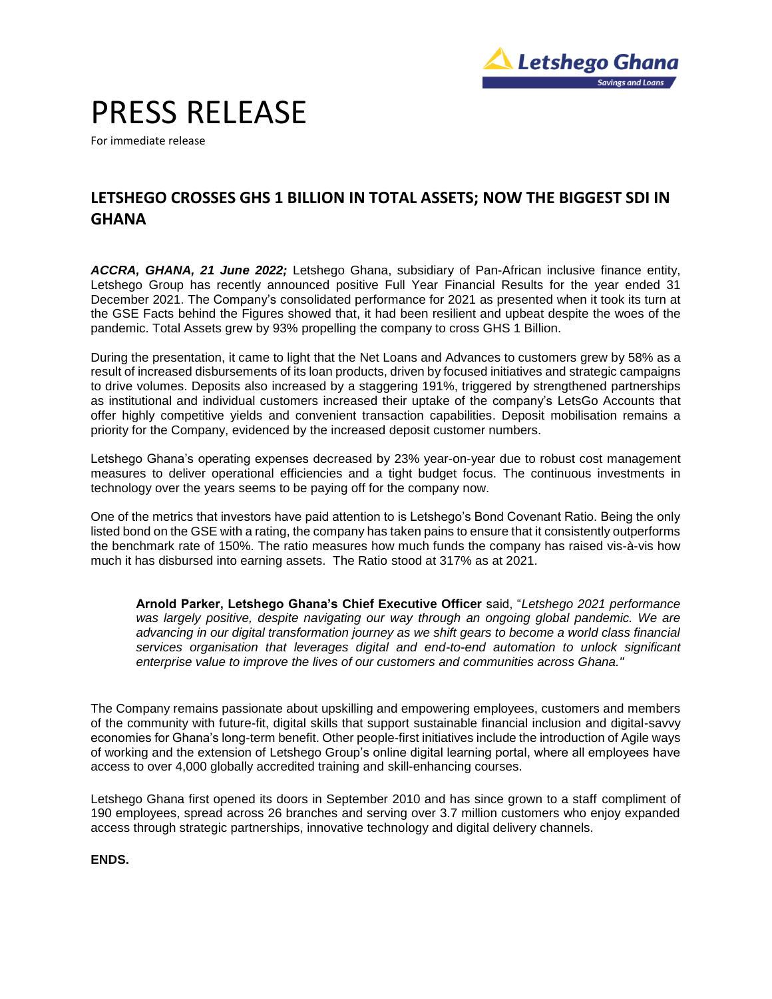

# PRESS RELEASE

For immediate release

## **LETSHEGO CROSSES GHS 1 BILLION IN TOTAL ASSETS; NOW THE BIGGEST SDI IN GHANA**

*ACCRA, GHANA, 21 June 2022;* Letshego Ghana, subsidiary of Pan-African inclusive finance entity, Letshego Group has recently announced positive Full Year Financial Results for the year ended 31 December 2021. The Company's consolidated performance for 2021 as presented when it took its turn at the GSE Facts behind the Figures showed that, it had been resilient and upbeat despite the woes of the pandemic. Total Assets grew by 93% propelling the company to cross GHS 1 Billion.

During the presentation, it came to light that the Net Loans and Advances to customers grew by 58% as a result of increased disbursements of its loan products, driven by focused initiatives and strategic campaigns to drive volumes. Deposits also increased by a staggering 191%, triggered by strengthened partnerships as institutional and individual customers increased their uptake of the company's LetsGo Accounts that offer highly competitive yields and convenient transaction capabilities. Deposit mobilisation remains a priority for the Company, evidenced by the increased deposit customer numbers.

Letshego Ghana's operating expenses decreased by 23% year-on-year due to robust cost management measures to deliver operational efficiencies and a tight budget focus. The continuous investments in technology over the years seems to be paying off for the company now.

One of the metrics that investors have paid attention to is Letshego's Bond Covenant Ratio. Being the only listed bond on the GSE with a rating, the company has taken pains to ensure that it consistently outperforms the benchmark rate of 150%. The ratio measures how much funds the company has raised vis-à-vis how much it has disbursed into earning assets. The Ratio stood at 317% as at 2021.

**Arnold Parker, Letshego Ghana's Chief Executive Officer** said, "*Letshego 2021 performance was largely positive, despite navigating our way through an ongoing global pandemic. We are advancing in our digital transformation journey as we shift gears to become a world class financial services organisation that leverages digital and end-to-end automation to unlock significant enterprise value to improve the lives of our customers and communities across Ghana."* 

The Company remains passionate about upskilling and empowering employees, customers and members of the community with future-fit, digital skills that support sustainable financial inclusion and digital-savvy economies for Ghana's long-term benefit. Other people-first initiatives include the introduction of Agile ways of working and the extension of Letshego Group's online digital learning portal, where all employees have access to over 4,000 globally accredited training and skill-enhancing courses.

Letshego Ghana first opened its doors in September 2010 and has since grown to a staff compliment of 190 employees, spread across 26 branches and serving over 3.7 million customers who enjoy expanded access through strategic partnerships, innovative technology and digital delivery channels.

**ENDS.**